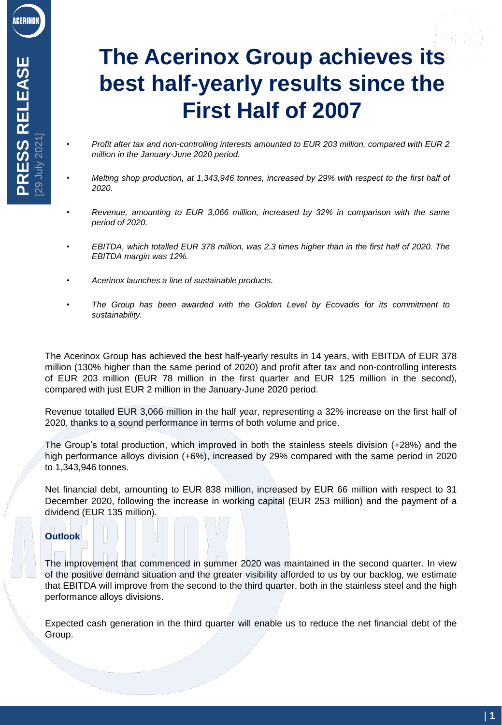# **The Acerinox Group achieves its best half-yearly results since the First Half of 2007**

- *Profit after tax and non-controlling interests amounted to EUR 203 million, compared with EUR 2 million in the January-June 2020 period.*
- *Melting shop production, at 1,343,946 tonnes, increased by 29% with respect to the first half of 2020.*
- *Revenue, amounting to EUR 3,066 million, increased by 32% in comparison with the same period of 2020.*
- *EBITDA, which totalled EUR 378 million, was 2.3 times higher than in the first half of 2020. The EBITDA margin was 12%.*
- *Acerinox launches a line of sustainable products.*
- *The Group has been awarded with the Golden Level by Ecovadis for its commitment to sustainability.*

The Acerinox Group has achieved the best half-yearly results in 14 years, with EBITDA of EUR 378 million (130% higher than the same period of 2020) and profit after tax and non-controlling interests of EUR 203 million (EUR 78 million in the first quarter and EUR 125 million in the second), compared with just EUR 2 million in the January-June 2020 period.

Revenue totalled EUR 3,066 million in the half year, representing a 32% increase on the first half of 2020, thanks to a sound performance in terms of both volume and price.

The Group's total production, which improved in both the stainless steels division (+28%) and the high performance alloys division (+6%), increased by 29% compared with the same period in 2020 to 1,343,946 tonnes.

Net financial debt, amounting to EUR 838 million, increased by EUR 66 million with respect to 31 December 2020, following the increase in working capital (EUR 253 million) and the payment of a dividend (EUR 135 million).

## **Outlook**

The improvement that commenced in summer 2020 was maintained in the second quarter. In view of the positive demand situation and the greater visibility afforded to us by our backlog, we estimate that EBITDA will improve from the second to the third quarter, both in the stainless steel and the high performance alloys divisions.

Expected cash generation in the third quarter will enable us to reduce the net financial debt of the Group.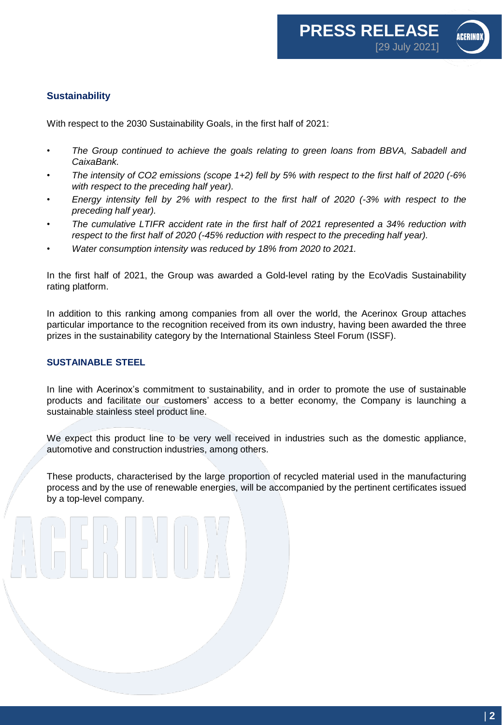

# **Sustainability**

With respect to the 2030 Sustainability Goals, in the first half of 2021:

- *The Group continued to achieve the goals relating to green loans from BBVA, Sabadell and CaixaBank.*
- The intensity of CO2 emissions (scope 1+2) fell by 5% with respect to the first half of 2020 (-6% *with respect to the preceding half year).*
- *Energy intensity fell by 2% with respect to the first half of 2020 (-3% with respect to the preceding half year).*
- *The cumulative LTIFR accident rate in the first half of 2021 represented a 34% reduction with respect to the first half of 2020 (-45% reduction with respect to the preceding half year).*
- *Water consumption intensity was reduced by 18% from 2020 to 2021.*

In the first half of 2021, the Group was awarded a Gold-level rating by the EcoVadis Sustainability rating platform.

In addition to this ranking among companies from all over the world, the Acerinox Group attaches particular importance to the recognition received from its own industry, having been awarded the three prizes in the sustainability category by the International Stainless Steel Forum (ISSF).

### **SUSTAINABLE STEEL**

In line with Acerinox's commitment to sustainability, and in order to promote the use of sustainable products and facilitate our customers' access to a better economy, the Company is launching a sustainable stainless steel product line.

We expect this product line to be very well received in industries such as the domestic appliance, automotive and construction industries, among others.

These products, characterised by the large proportion of recycled material used in the manufacturing process and by the use of renewable energies, will be accompanied by the pertinent certificates issued by a top-level company.